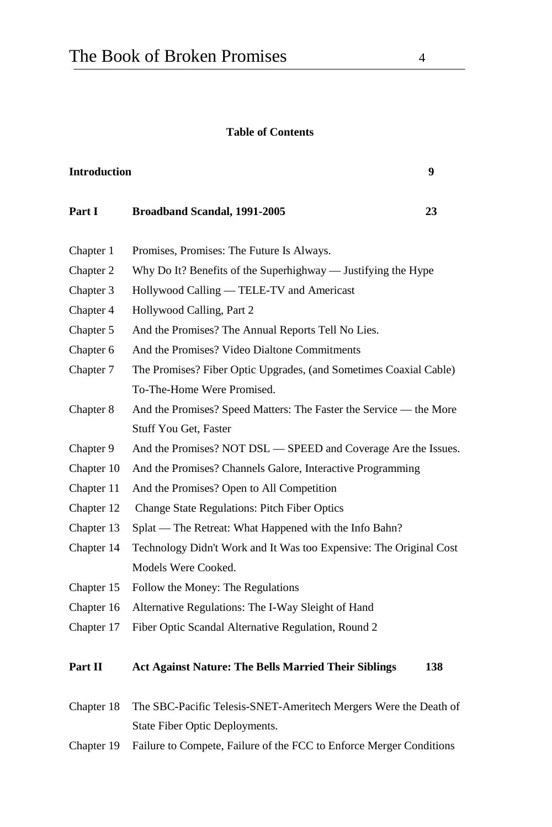## **Table of Contents**

| <b>Introduction</b> |                                                                    |  |
|---------------------|--------------------------------------------------------------------|--|
| Part I              | Broadband Scandal, 1991-2005<br>23                                 |  |
| Chapter 1           | Promises, Promises: The Future Is Always.                          |  |
| Chapter 2           | Why Do It? Benefits of the Superhighway — Justifying the Hype      |  |
| Chapter 3           | Hollywood Calling — TELE-TV and Americast                          |  |
| Chapter 4           | Hollywood Calling, Part 2                                          |  |
| Chapter 5           | And the Promises? The Annual Reports Tell No Lies.                 |  |
| Chapter 6           | And the Promises? Video Dialtone Commitments                       |  |
| Chapter 7           | The Promises? Fiber Optic Upgrades, (and Sometimes Coaxial Cable)  |  |
|                     | To-The-Home Were Promised.                                         |  |
| Chapter 8           | And the Promises? Speed Matters: The Faster the Service — the More |  |
|                     | Stuff You Get, Faster                                              |  |
| Chapter 9           | And the Promises? NOT DSL - SPEED and Coverage Are the Issues.     |  |
| Chapter 10          | And the Promises? Channels Galore, Interactive Programming         |  |
| Chapter 11          | And the Promises? Open to All Competition                          |  |
| Chapter 12          | Change State Regulations: Pitch Fiber Optics                       |  |
| Chapter 13          | Splat - The Retreat: What Happened with the Info Bahn?             |  |
| Chapter 14          | Technology Didn't Work and It Was too Expensive: The Original Cost |  |
|                     | Models Were Cooked.                                                |  |
| Chapter 15          | Follow the Money: The Regulations                                  |  |
| Chapter 16          | Alternative Regulations: The I-Way Sleight of Hand                 |  |
| Chapter 17          | Fiber Optic Scandal Alternative Regulation, Round 2                |  |
| Part II             | Act Against Nature: The Bells Married Their Siblings<br>138        |  |

- Chapter 18 The SBC-Pacific Telesis-SNET-Ameritech Mergers Were the Death of State Fiber Optic Deployments.
- Chapter 19 Failure to Compete, Failure of the FCC to Enforce Merger Conditions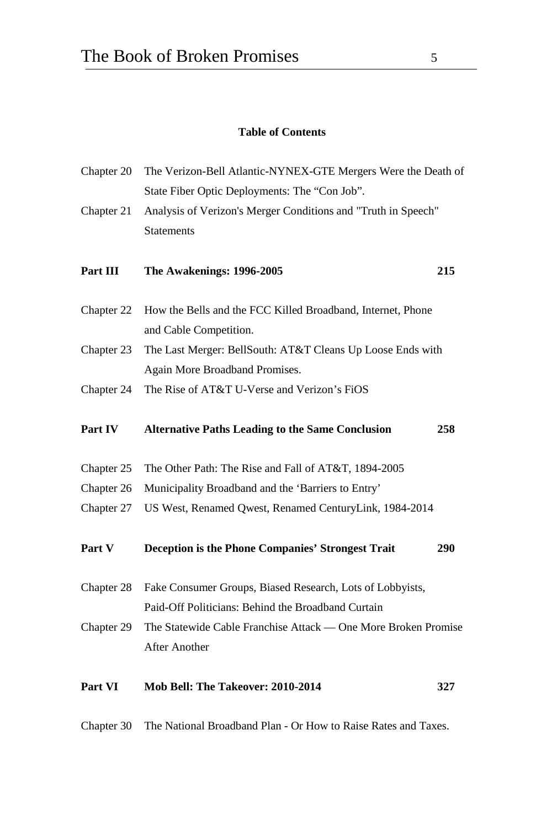## **Table of Contents**

| Chapter 20 | The Verizon-Bell Atlantic-NYNEX-GTE Mergers Were the Death of  |     |  |  |
|------------|----------------------------------------------------------------|-----|--|--|
|            | State Fiber Optic Deployments: The "Con Job".                  |     |  |  |
| Chapter 21 | Analysis of Verizon's Merger Conditions and "Truth in Speech"  |     |  |  |
|            | <b>Statements</b>                                              |     |  |  |
| Part III   | The Awakenings: 1996-2005                                      | 215 |  |  |
| Chapter 22 | How the Bells and the FCC Killed Broadband, Internet, Phone    |     |  |  |
|            | and Cable Competition.                                         |     |  |  |
| Chapter 23 | The Last Merger: BellSouth: AT&T Cleans Up Loose Ends with     |     |  |  |
|            | Again More Broadband Promises.                                 |     |  |  |
| Chapter 24 | The Rise of AT&T U-Verse and Verizon's FiOS                    |     |  |  |
| Part IV    | <b>Alternative Paths Leading to the Same Conclusion</b>        | 258 |  |  |
| Chapter 25 | The Other Path: The Rise and Fall of AT&T, 1894-2005           |     |  |  |
| Chapter 26 | Municipality Broadband and the 'Barriers to Entry'             |     |  |  |
| Chapter 27 | US West, Renamed Qwest, Renamed CenturyLink, 1984-2014         |     |  |  |
| Part V     | <b>Deception is the Phone Companies' Strongest Trait</b>       | 290 |  |  |
| Chapter 28 | Fake Consumer Groups, Biased Research, Lots of Lobbyists,      |     |  |  |
|            | Paid-Off Politicians: Behind the Broadband Curtain             |     |  |  |
| Chapter 29 | The Statewide Cable Franchise Attack - One More Broken Promise |     |  |  |
|            | After Another                                                  |     |  |  |
| Part VI    | Mob Bell: The Takeover: 2010-2014                              | 327 |  |  |
| Chapter 30 | The National Broadband Plan - Or How to Raise Rates and Taxes. |     |  |  |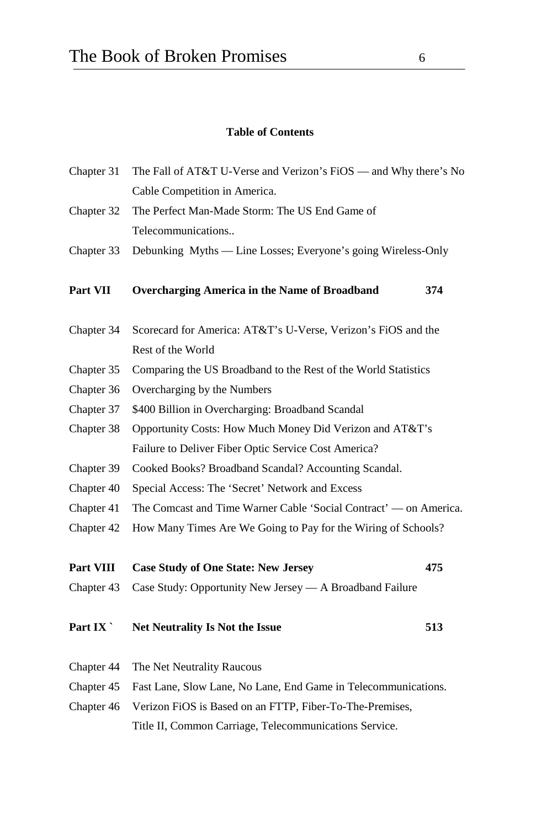## **Table of Contents**

| Chapter 31 | The Fall of AT&T U-Verse and Verizon's FiOS - and Why there's No  |     |  |  |
|------------|-------------------------------------------------------------------|-----|--|--|
|            | Cable Competition in America.                                     |     |  |  |
| Chapter 32 | The Perfect Man-Made Storm: The US End Game of                    |     |  |  |
|            | Telecommunications                                                |     |  |  |
| Chapter 33 | Debunking Myths — Line Losses; Everyone's going Wireless-Only     |     |  |  |
| Part VII   | Overcharging America in the Name of Broadband                     | 374 |  |  |
| Chapter 34 | Scorecard for America: AT&T's U-Verse, Verizon's FiOS and the     |     |  |  |
|            | Rest of the World                                                 |     |  |  |
| Chapter 35 | Comparing the US Broadband to the Rest of the World Statistics    |     |  |  |
| Chapter 36 | Overcharging by the Numbers                                       |     |  |  |
| Chapter 37 | \$400 Billion in Overcharging: Broadband Scandal                  |     |  |  |
| Chapter 38 | Opportunity Costs: How Much Money Did Verizon and AT&T's          |     |  |  |
|            | Failure to Deliver Fiber Optic Service Cost America?              |     |  |  |
| Chapter 39 | Cooked Books? Broadband Scandal? Accounting Scandal.              |     |  |  |
| Chapter 40 | Special Access: The 'Secret' Network and Excess                   |     |  |  |
| Chapter 41 | The Comcast and Time Warner Cable 'Social Contract' — on America. |     |  |  |
| Chapter 42 | How Many Times Are We Going to Pay for the Wiring of Schools?     |     |  |  |
| Part VIII  | <b>Case Study of One State: New Jersey</b>                        | 475 |  |  |
| Chapter 43 | Case Study: Opportunity New Jersey — A Broadband Failure          |     |  |  |
| Part IX    | <b>Net Neutrality Is Not the Issue</b>                            | 513 |  |  |
| Chapter 44 | The Net Neutrality Raucous                                        |     |  |  |
| Chapter 45 | Fast Lane, Slow Lane, No Lane, End Game in Telecommunications.    |     |  |  |
| Chapter 46 | Verizon FiOS is Based on an FTTP, Fiber-To-The-Premises,          |     |  |  |
|            | Title II, Common Carriage, Telecommunications Service.            |     |  |  |